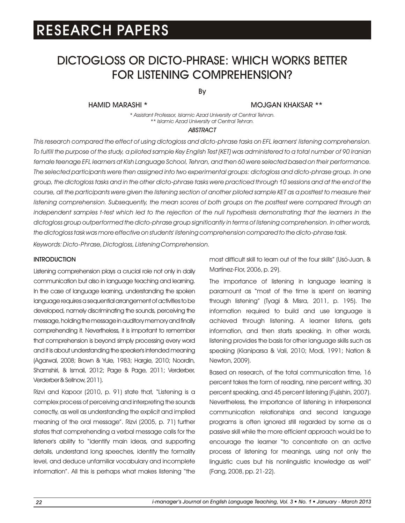# DICTOGLOSS OR DICTO-PHRASE: WHICH WORKS BETTER FOR LISTENING COMPREHENSION?

By

HAMID MARASHI \*

MOJGAN KHAKSAR \*\*

*\* Assistant Professor, Islamic Azad University at Central Tehran. \*\* Islamic Azad University at Central Tehran.*

#### *ABSTRACT*

*This research compared the effect of using dictogloss and dicto-phrase tasks on EFL learners' listening comprehension. To fulfill the purpose of the study, a piloted sample Key English Test (KET) was administered to a total number of 90 Iranian female teenage EFL learners at Kish Language School, Tehran, and then 60 were selected based on their performance. The selected participants were then assigned into two experimental groups: dictogloss and dicto-phrase group. In one group, the dictogloss tasks and in the other dicto-phrase tasks were practiced through 10 sessions and at the end of the*  course, all the participants were given the listening section of another piloted sample KET as a posttest to measure their *listening comprehension. Subsequently, the mean scores of both groups on the posttest were compared through an* independent samples t-test which led to the rejection of the null hypothesis demonstrating that the learners in the *dictogloss group outperformed the dicto-phrase group significantly in terms of listening comprehension. In other words, the dictogloss task was more effective on students' listening comprehension compared to the dicto-phrase task.*

*Keywords: Dicto-Phrase, Dictogloss, Listening Comprehension.*

### **INTRODUCTION**

Listening comprehension plays a crucial role not only in daily communication but also in language teaching and learning. In the case of language learning, understanding the spoken language requires a sequential arrangement of activities to be developed, namely discriminating the sounds, perceiving the message, holding the message in auditory memory and finally comprehending it. Nevertheless, it is important to remember that comprehension is beyond simply processing every word and it is about understanding the speaker's intended meaning (Agarwal, 2008; Brown & Yule, 1983; Hargie, 2010; Noordin, Shamshiri, & Ismail, 2012; Page & Page, 2011; Verderber, Verderber&Sellnow,2011).

Rizvi and Kapoor (2010, p. 91) state that, "Listening is a complex process of perceiving and interpreting the sounds correctly, as well as understanding the explicit and implied meaning of the oral message". Rizvi (2005, p. 71) further states that comprehending a verbal message calls for the listener's ability to "identify main ideas, and supporting details, understand long speeches, identify the formality level, and deduce unfamiliar vocabulary and incomplete information". All this is perhaps what makes listening "the most difficult skill to learn out of the four skills" (Usó-Juan, & Martínez-Flor, 2006, p. 29).

The importance of listening in language learning is paramount as "most of the time is spent on learning through listening" (Tyagi & Misra, 2011, p. 195). The information required to build and use language is achieved through listening. A learner listens, gets information, and then starts speaking. In other words, listening provides the basis for other language skills such as speaking (Kianiparsa & Vali, 2010; Modi, 1991; Nation & Newton, 2009).

Based on research, of the total communication time, 16 percent takes the form of reading, nine percent writing, 30 percent speaking, and 45 percent listening (Fujishin, 2007). Nevertheless, the importance of listening in interpersonal communication relationships and second language programs is often ignored still regarded by some as a passive skill while the more efficient approach would be to encourage the learner "to concentrate on an active process of listening for meanings, using not only the linguistic cues but his nonlinguistic knowledge as well" (Fang, 2008, pp. 21-22).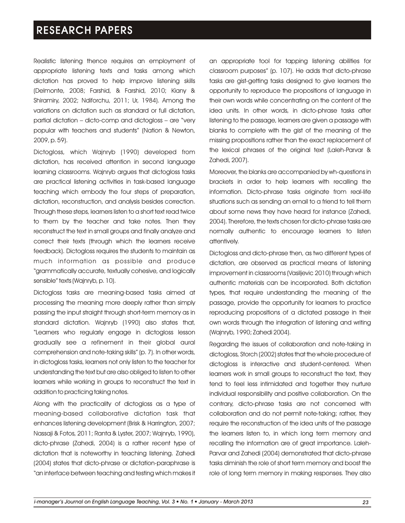Realistic listening thence requires an employment of appropriate listening texts and tasks among which dictation has proved to help improve listening skills (Delmonte, 2008; Farshid, & Farshid, 2010; Kiany & Shiramiry, 2002; Ndiforchu, 2011; Ur, 1984). Among the variations on dictation such as standard or full dictation, partial dictation – dicto-comp and dictogloss – are "very popular with teachers and students" (Nation & Newton, 2009, p. 59).

Dictogloss, which Wajnryb (1990) developed from dictation, has received attention in second language learning classrooms. Wajnryb argues that dictogloss tasks are practical listening activities in task-based language teaching which embody the four steps of preparation, dictation, reconstruction, and analysis besides correction. Through these steps, learners listen to a short text read twice to them by the teacher and take notes. Then they reconstruct the text in small groups and finally analyze and correct their texts (through which the learners receive feedback). Dictogloss requires the students to maintain as much information as possible and produce "grammatically accurate, textually cohesive, and logically sensible" texts (Wajnryb, p. 10).

Dictogloss tasks are meaning-based tasks aimed at processing the meaning more deeply rather than simply passing the input straight through short-term memory as in standard dictation. Wajnryb (1990) also states that, "Learners who regularly engage in dictogloss lesson gradually see a refinement in their global aural comprehension and note-taking skills" (p. 7). In other words, in dictogloss tasks, learners not only listen to the teacher for understanding the text but are also obliged to listen to other learners while working in groups to reconstruct the text in addition to practicing taking notes.

Along with the practicality of dictogloss as a type of meaning-based collaborative dictation task that enhances listening development (Brisk & Harrington, 2007; Nassaji & Fotos, 2011; Ranta & Lyster, 2007; Wajnryb, 1990), dicto-phrase (Zahedi, 2004) is a rather recent type of dictation that is noteworthy in teaching listening. Zahedi (2004) states that dicto-phrase or dictation-paraphrase is "an interface between teaching and testing which makes it an appropriate tool for tapping listening abilities for classroom purposes" (p. 107). He adds that dicto-phrase tasks are gist-getting tasks designed to give learners the opportunity to reproduce the propositions of language in their own words while concentrating on the content of the idea units. In other words, in dicto-phrase tasks after listening to the passage, learners are given a passage with blanks to complete with the gist of the meaning of the missing propositions rather than the exact replacement of the lexical phrases of the original text (Laleh-Parvar & Zahedi, 2007).

Moreover, the blanks are accompanied by wh-questions in brackets in order to help learners with recalling the information. Dicto-phrase tasks originate from real-life situations such as sending an email to a friend to tell them about some news they have heard for instance (Zahedi, 2004). Therefore, the texts chosen for dicto-phrase tasks are normally authentic to encourage learners to listen attentively.

Dictogloss and dicto-phrase then, as two different types of dictation, are observed as practical means of listening improvement in classrooms (Vasiljevic 2010) through which authentic materials can be incorporated. Both dictation types, that require understanding the meaning of the passage, provide the opportunity for learners to practice reproducing propositions of a dictated passage in their own words through the integration of listening and writing (Wajnryb, 1990; Zahedi 2004).

Regarding the issues of collaboration and note-taking in dictogloss, Storch (2002) states that the whole procedure of dictogloss is interactive and student-centered. When learners work in small groups to reconstruct the text, they tend to feel less intimidated and together they nurture individual responsibility and positive collaboration. On the contrary, dicto-phrase tasks are not concerned with collaboration and do not permit note-taking; rather, they require the reconstruction of the idea units of the passage the learners listen to, in which long term memory and recalling the information are of great importance. Laleh-Parvar and Zahedi (2004) demonstrated that dicto-phrase tasks diminish the role of short term memory and boost the role of long term memory in making responses. They also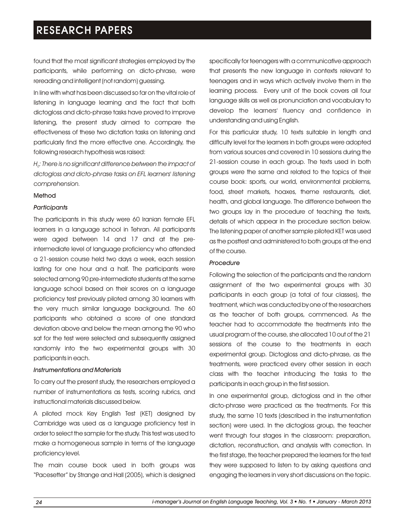found that the most significant strategies employed by the participants, while performing on dicto-phrase, were rereading and intelligent (not random) guessing.

In line with what has been discussed so far on the vital role of listening in language learning and the fact that both dictogloss and dicto-phrase tasks have proved to improve listening, the present study aimed to compare the effectiveness of these two dictation tasks on listening and particularly find the more effective one. Accordingly, the following research hypothesis was raised:

*H : There is no significant difference between the impact of <sup>0</sup> dictogloss and dicto-phrase tasks on EFL learners' listening comprehension.*

### Method

#### *Participants*

The participants in this study were 60 Iranian female EFL learners in a language school in Tehran. All participants were aged between 14 and 17 and at the preintermediate level of language proficiency who attended a 21-session course held two days a week, each session lasting for one hour and a half. The participants were selected among 90 pre-intermediate students at the same language school based on their scores on a language proficiency test previously piloted among 30 learners with the very much similar language background. The 60 participants who obtained a score of one standard deviation above and below the mean among the 90 who sat for the test were selected and subsequently assigned randomly into the two experimental groups with 30 participants in each.

### *Instrumentations and Materials*

To carry out the present study, the researchers employed a number of instrumentations as tests, scoring rubrics, and instructional materials discussed below.

A piloted mock Key English Test (KET) designed by Cambridge was used as a language proficiency test in order to select the sample for the study. This test was used to make a homogeneous sample in terms of the language proficiency level.

The main course book used in both groups was "Pacesetter" by Strange and Hall (2005), which is designed specifically for teenagers with a communicative approach that presents the new language in contexts relevant to teenagers and in ways which actively involve them in the learning process. Every unit of the book covers all four language skills as well as pronunciation and vocabulary to develop the learners' fluency and confidence in understanding and using English.

For this particular study, 10 texts suitable in length and difficulty level for the learners in both groups were adopted from various sources and covered in 10 sessions during the 21-session course in each group. The texts used in both groups were the same and related to the topics of their course book: sports, our world, environmental problems, food, street markets, hoaxes, theme restaurants, diet, health, and global language. The difference between the two groups lay in the procedure of teaching the texts, details of which appear in the procedure section below. The listening paper of another sample piloted KET was used as the posttest and administered to both groups at the end of the course.

#### *Procedure*

Following the selection of the participants and the random assignment of the two experimental groups with 30 participants in each group (a total of four classes), the treatment, which was conducted by one of the researchers as the teacher of both groups, commenced. As the teacher had to accommodate the treatments into the usual program of the course, she allocated 10 out of the 21 sessions of the course to the treatments in each experimental group. Dictogloss and dicto-phrase, as the treatments, were practiced every other session in each class with the teacher introducing the tasks to the participants in each group in the first session.

In one experimental group, dictogloss and in the other dicto-phrase were practiced as the treatments. For this study, the same 10 texts (described in the instrumentation section) were used. In the dictogloss group, the teacher went through four stages in the classroom: preparation, dictation, reconstruction, and analysis with correction. In the first stage, the teacher prepared the learners for the text they were supposed to listen to by asking questions and engaging the learners in very short discussions on the topic.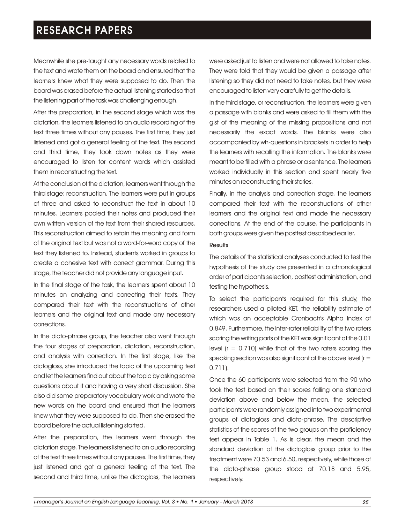Meanwhile she pre-taught any necessary words related to the text and wrote them on the board and ensured that the learners knew what they were supposed to do. Then the board was erased before the actual listening started so that the listening part of the task was challenging enough.

After the preparation, in the second stage which was the dictation, the learners listened to an audio recording of the text three times without any pauses. The first time, they just listened and got a general feeling of the text. The second and third time, they took down notes as they were encouraged to listen for content words which assisted them in reconstructing the text.

At the conclusion of the dictation, learners went through the third stage: reconstruction. The learners were put in groups of three and asked to reconstruct the text in about 10 minutes. Learners pooled their notes and produced their own written version of the text from their shared resources. This reconstruction aimed to retain the meaning and form of the original text but was not a word-for-word copy of the text they listened to. Instead, students worked in groups to create a cohesive text with correct grammar. During this stage, the teacher did not provide any language input.

In the final stage of the task, the learners spent about 10 minutes on analyzing and correcting their texts. They compared their text with the reconstructions of other learners and the original text and made any necessary corrections.

In the dicto-phrase group, the teacher also went through the four stages of preparation, dictation, reconstruction, and analysis with correction. In the first stage, like the dictogloss, she introduced the topic of the upcoming text and let the learners find out about the topic by asking some questions about it and having a very short discussion. She also did some preparatory vocabulary work and wrote the new words on the board and ensured that the learners knew what they were supposed to do. Then she erased the board before the actual listening started.

After the preparation, the learners went through the dictation stage. The learners listened to an audio recording of the text three times without any pauses. The first time, they just listened and got a general feeling of the text. The second and third time, unlike the dictogloss, the learners

were asked just to listen and were not allowed to take notes. They were told that they would be given a passage after listening so they did not need to take notes, but they were encouraged to listen very carefully to get the details.

In the third stage, or reconstruction, the learners were given a passage with blanks and were asked to fill them with the gist of the meaning of the missing propositions and not necessarily the exact words. The blanks were also accompanied by wh-questions in brackets in order to help the learners with recalling the information. The blanks were meant to be filled with a phrase or a sentence. The learners worked individually in this section and spent nearly five minutes on reconstructing their stories.

Finally, in the analysis and correction stage, the learners compared their text with the reconstructions of other learners and the original text and made the necessary corrections. At the end of the course, the participants in both groups were given the posttest described earlier.

#### **Results**

The details of the statistical analyses conducted to test the hypothesis of the study are presented in a chronological order of participants selection, posttest administration, and testing the hypothesis.

To select the participants required for this study, the researchers used a piloted KET, the reliability estimate of which was an acceptable Cronbach's Alpha Index of 0.849. Furthermore, the inter-rater reliability of the two raters scoring the writing parts of the KET was significant at the 0.01 level  $(r = 0.710)$  while that of the two raters scoring the speaking section was also significant at the above level  $(r =$ 0.711).

Once the 60 participants were selected from the 90 who took the test based on their scores falling one standard deviation above and below the mean, the selected participants were randomly assigned into two experimental groups of dictogloss and dicto-phrase. The descriptive statistics of the scores of the two groups on the proficiency test appear in Table 1. As is clear, the mean and the standard deviation of the dictogloss group prior to the treatment were 70.53 and 6.50, respectively, while those of the dicto-phrase group stood at 70.18 and 5.95, respectively.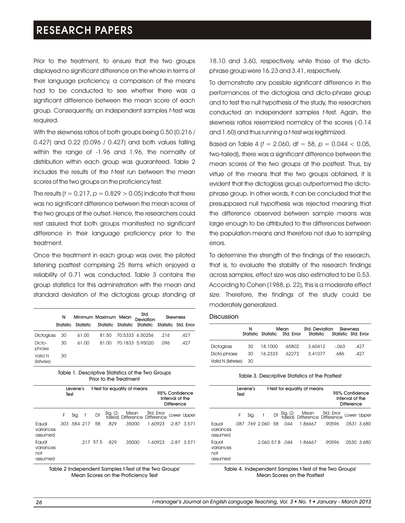Prior to the treatment, to ensure that the two groups displayed no significant difference on the whole in terms of their language proficiency, a comparison of the means had to be conducted to see whether there was a significant difference between the mean score of each group. Consequently, an independent samples *t-*test was required.

With the skewness ratios of both groups being 0.50 (0.216 / 0.427) and 0.22 (0.096 / 0.427) and both values falling within the range of -1.96 and 1.96, the normality of distribution within each group was guaranteed. Table 2 includes the results of the *t*-test run between the mean scores of the two groups on the proficiency test.

The results ( $t = 0.217$ ,  $p = 0.829 > 0.05$ ) indicate that there was no significant difference between the mean scores of the two groups at the outset. Hence, the researchers could rest assured that both groups manifested no significant difference in their language proficiency prior to the treatment.

Once the treatment in each group was over, the piloted listening posttest comprising 25 items which enjoyed a reliability of 0.71 was conducted. Table 3 contains the group statistics for this administration with the mean and standard deviation of the dictogloss group standing at

|                       | N  |                     | Minimum Maximum Mean |  | Std.<br>Deviation                                  | Skewness |      |  |
|-----------------------|----|---------------------|----------------------|--|----------------------------------------------------|----------|------|--|
|                       |    | Statistic Statistic |                      |  | Statistic Statistic Statistic Statistic Std. Error |          |      |  |
| <b>Dictogloss</b>     | 30 | 61.00               | 81.50                |  | 70.5333 6.50256                                    | .216     | .427 |  |
| Dicto-<br>phrase      | 30 | 61.00               | 81.00                |  | 70.1833 5.95020                                    | .096     | .427 |  |
| Valid N<br>(listwise) | 30 |                     |                      |  |                                                    |          |      |  |

| Table 1. Descriptive Statistics of the Two Groups |
|---------------------------------------------------|
| Prior to the Treatment                            |

|                                      | Levene's<br>Test |                  | t-test for equality of means |           |      | 95% Confidence<br>Interval of the<br>Difference           |         |               |             |
|--------------------------------------|------------------|------------------|------------------------------|-----------|------|-----------------------------------------------------------|---------|---------------|-------------|
|                                      | F                | Sig.             |                              | Df        |      | Sig. (2- Mean Std. Error<br>tailed) Difference Difference |         |               | Lower Upper |
| Equal<br>variances<br>assumed        |                  | .303, .584, .217 |                              | 58        | .829 | .35000                                                    | 1.60923 | $-2.87$ 3.571 |             |
| Equal<br>variances<br>not<br>assumed |                  |                  |                              | .217 57.5 | .829 | .35000                                                    | 1.60923 | $-2.87$       | 3.571       |

Table 2 Independent Samples t-Test of the Two Groups' Mean Scores on the Proficiency Test

18.10 and 3.60, respectively, while those of the dictophrase group were 16.23 and 3.41, respectively.

To demonstrate any possible significant difference in the performances of the dictogloss and dicto-phrase group and to test the null hypothesis of the study, the researchers conducted an independent samples *t*-test. Again, the skewness ratios resembled normalcy of the scores (-0.14 and 1.60) and thus running a *t*-test was legitimized.

Based on Table 4 (*t* = 2.060, df = 58, *p =* 0.044 < 0.05, two-tailed), there was a significant difference between the mean scores of the two groups at the posttest. Thus, by virtue of the means that the two groups obtained, it is evident that the dictogloss group outperformed the dictophrase group. In other words, it can be concluded that the presupposed null hypothesis was rejected meaning that the difference observed between sample means was large enough to be attributed to the differences between the population means and therefore not due to sampling errors.

To determine the strength of the findings of the research, that is, to evaluate the stability of the research findings across samples, effect size was also estimated to be 0.53. According to Cohen (1988, p. 22), this is a moderate effect size. Therefore, the findings of the study could be moderately generalized.

#### Discussion

|                       | N    |         | Mean           | Std. Deviation Skewness<br>Statistic Statistic Std. Error Statistic Statistic Std. Error |         |      |
|-----------------------|------|---------|----------------|------------------------------------------------------------------------------------------|---------|------|
|                       |      |         |                |                                                                                          |         |      |
| <b>Dictogloss</b>     | 30   |         | 18.1000 .65802 | 3.60412                                                                                  | $-.063$ | .427 |
| Dicto-phrase          | - 30 | 16.2333 | .62272         | 3.41077                                                                                  | .686    | .427 |
| Valid N (listwise) 30 |      |         |                |                                                                                          |         |      |

#### Table 3. Descriptive Statistics of the Posttest

|                                      | Test | Levene's |                    | t-test for equality of means |                                                              | 95% Confidence<br>Interval of the<br><b>Difference</b> |  |             |
|--------------------------------------|------|----------|--------------------|------------------------------|--------------------------------------------------------------|--------------------------------------------------------|--|-------------|
|                                      | F    | Sig.     | $+$                |                              | Df Sig. (2- Mean Std. Error<br>tailed) Difference Difference |                                                        |  | Lower Upper |
| Equal<br>variances<br>assumed        |      |          | .087 .769 2.060 58 | .044                         | 1.86667                                                      | .90596                                                 |  | .0531 3.680 |
| Equal<br>variances<br>not<br>assumed |      |          | 2.060 57.8 .044    |                              | 1.86667                                                      | .90596                                                 |  | .0530 3.680 |

Table 4. Independent Samples t-Test of the Two Groups' Mean Scores on the Posttest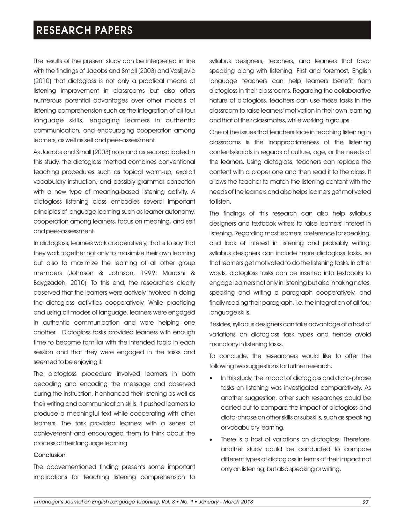The results of the present study can be interpreted in line with the findings of Jacobs and Small (2003) and Vasiljevic (2010) that dictogloss is not only a practical means of listening improvement in classrooms but also offers numerous potential advantages over other models of listening comprehension such as the integration of all four language skills, engaging learners in authentic communication, and encouraging cooperation among learners, as well as self and peer-assessment.

As Jacobs and Small (2003) note and as reconsolidated in this study, the dictogloss method combines conventional teaching procedures such as topical warm-up, explicit vocabulary instruction, and possibly grammar correction with a new type of meaning-based listening activity. A dictogloss listening class embodies several important principles of language learning such as learner autonomy, cooperation among learners, focus on meaning, and self and peer-assessment.

In dictogloss, learners work cooperatively, that is to say that they work together not only to maximize their own learning but also to maximize the learning of all other group members (Johnson & Johnson, 1999; Marashi & Baygzadeh, 2010). To this end, the researchers clearly observed that the learners were actively involved in doing the dictogloss activities cooperatively. While practicing and using all modes of language, learners were engaged in authentic communication and were helping one another. Dictogloss tasks provided learners with enough time to become familiar with the intended topic in each session and that they were engaged in the tasks and seemed to be enjoying it.

The dictogloss procedure involved learners in both decoding and encoding the message and observed during the instruction, it enhanced their listening as well as their writing and communication skills. It pushed learners to produce a meaningful text while cooperating with other learners. The task provided learners with a sense of achievement and encouraged them to think about the process of their language learning.

#### Conclusion

The abovementioned finding presents some important implications for teaching listening comprehension to

syllabus designers, teachers, and learners that favor speaking along with listening. First and foremost, English language teachers can help learners benefit from dictogloss in their classrooms. Regarding the collaborative nature of dictogloss, teachers can use these tasks in the classroom to raise learners' motivation in their own learning and that of their classmates, while working in groups.

One of the issues that teachers face in teaching listening in classrooms is the inappropriateness of the listening contents/scripts in regards of culture, age, or the needs of the learners. Using dictogloss, teachers can replace the content with a proper one and then read it to the class. It allows the teacher to match the listening content with the needs of the learners and also helps learners get motivated to listen.

The findings of this research can also help syllabus designers and textbook writers to raise learners' interest in listening. Regarding most learners' preference for speaking, and lack of interest in listening and probably writing, syllabus designers can include more dictogloss tasks, so that learners get motivated to do the listening tasks. In other words, dictogloss tasks can be inserted into textbooks to engage learners not only in listening but also in taking notes, speaking and writing a paragraph cooperatively, and finally reading their paragraph, i.e. the integration of all four language skills.

Besides, syllabus designers can take advantage of a host of variations on dictogloss task types and hence avoid monotony in listening tasks.

To conclude, the researchers would like to offer the following two suggestions for further research.

- In this study, the impact of dictogloss and dicto-phrase tasks on listening was investigated comparatively. As another suggestion, other such researches could be carried out to compare the impact of dictogloss and dicto-phrase on other skills or subskills, such as speaking or vocabulary learning.
- There is a host of variations on dictogloss. Therefore, another study could be conducted to compare different types of dictogloss in terms of their impact not only on listening, but also speaking or writing.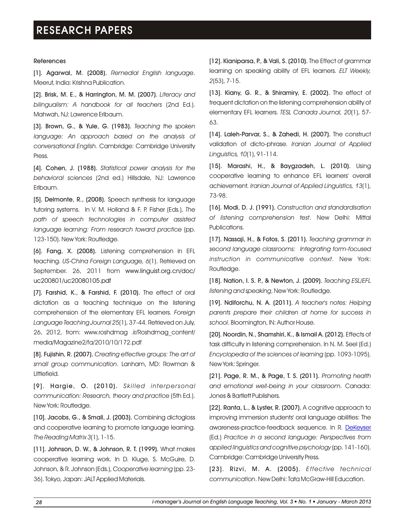### References

[1]. Agarwal, M. (2008). *Remedial English language*. Meerut, India: Krishna Publication.

[2]. Brisk, M. E., & Harrington, M. M. (2007). *Literacy and bilingualism: A handbook for all teachers* (2nd Ed.). Mahwah, NJ: Lawrence Erlbaum.

[3]. Brown, G., & Yule, G. (1983). *Teaching the spoken language: An approach based on the analysis of conversational English.* Cambridge: Cambridge University Press.

[4]. Cohen, J. (1988). *Statistical power analysis for the behavioral sciences* (2nd ed.) Hillsdale, NJ: Lawrence Erlbaum.

[5]. Delmonte, R., (2008). Speech synthesis for language tutoring systems. In V. M. Holland & F. P. Fisher (Eds.), *The path of speech technologies in computer assisted language learning: From research toward practice* (pp. 123-150). New York: Routledge.

[6]. Fang, X. (2008). Listening comprehension in EFL teaching. *US-China Foreign Language, 6*(1). Retrieved on September. 26, 2011 from www.linguist.org.cn/doc/ uc200801/uc20080105.pdf

[7]. Farshid, K., & Farshid, F. (2010). The effect of oral dictation as a teaching technique on the listening comprehension of the elementary EFL learners. *Foreign Language Teaching Journal 25*(1), 37-44. Retrieved on July, 26, 2012, from: www.roshdmag .ir/Roshdmag\_content/ media/Magazine2/fa/2010/10/172.pdf

[8]. Fujishin, R. (2007). *Creating effective groups: The art of small group communication*. Lanham, MD: Rowman & Littlefield.

[9]. Hargie, O. (2010). *Ski l led interpersonal communication: Research, theory and practice* (5th Ed.). New York: Routledge.

[10]. Jacobs, G., & Small, J. (2003). Combining dictogloss and cooperative learning to promote language learning. *The Reading Matrix 3*(1), 1-15.

[11]. Johnson, D. W., & Johnson, R. T. (1999). What makes cooperative learning work. In D. Kluge, S. McGuire, D. Johnson, & R. Johnson (Eds.), *Cooperative learning* (pp. 23- 36). Tokyo, Japan: JALT Applied Materials.

[12]. Kianiparsa, P., & Vali, S. (2010). The Effect of grammar learning on speaking ability of EFL learners. *ELT Weekly, 2*(53), 7-15.

[13]. Kiany, G. R., & Shiramiry, E. (2002). The effect of frequent dictation on the listening comprehension ability of elementary EFL learners. *TESL Canada Journal, 20*(1), 57- 63.

[14]. Laleh-Parvar, S., & Zahedi, H. (2007). The construct validation of dicto-phrase. *Iranian Journal of Applied Linguistics, 10*(1), 91-114.

[15]. Marashi, H., & Baygzadeh, L. (2010). Using cooperative learning to enhance EFL learners' overall achievement. *Iranian Journal of Applied Linguistics, 13*(1), 73-98.

[16]. Modi, D. J. (1991). *Construction and standardisation of listening comprehension test*. New Delhi: Mittal Publications.

[17]. Nassaji, H., & Fotos, S. (2011). *Teaching grammar in second language classrooms: Integrating form-focused instruction in communicative context*. New York: Routledge.

[18]. Nation, I. S. P., & Newton, J. (2009). *Teaching ESL/EFL listening and speaking*, New York: Routledge.

[19]. Ndiforchu, N. A. (2011). *A teacher's notes: Helping parents prepare their children at home for success in school*. Bloomington, IN: Author House.

[20]. Noordin, N., Shamshiri, K., & Ismail A. (2012). Effects of task difficulty in listening comprehension. In N. M. Seel (Ed.) *Encyclopedia of the sciences of learning* (pp. 1093-1095). New York: Springer.

[21]. Page, R. M., & Page, T. S. (2011). *Promoting health and emotional well-being in your classroom*. Canada: Jones & Bartlett Publishers.

[22]. Ranta, L., & Lyster, R. (2007). A cognitive approach to improving immersion students' oral language abilities: The awareness-practice-feedback sequence. In R. <u>[DeKeyser](http://www.google.com/search?tbo=p&tbm=bks&q=inauthor:%22Robert+DeKeyser%22)</u> (Ed.) *Practice in a second language: Perspectives from applied linguistics and cognitive psychology* (pp. 141-160). Cambridge: Cambridge University Press.

[23]. Rizvi, M. A. (2005). *Effective technical communication*. New Delhi: Tata McGraw-Hill Education.